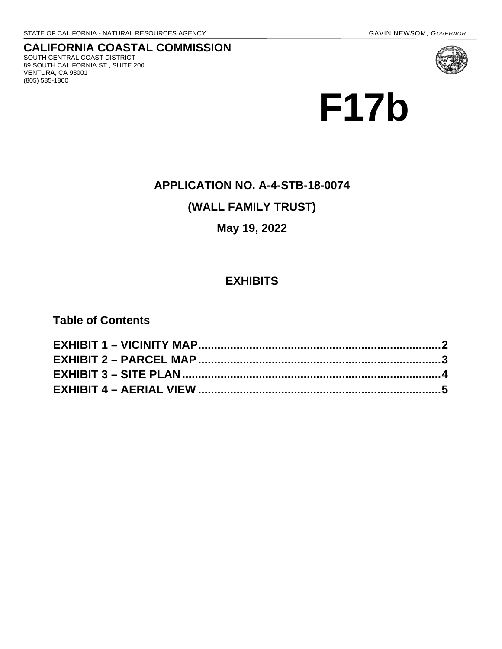**CALIFORNIA COASTAL COMMISSION** SOUTH CENTRAL COAST DISTRICT 89 SOUTH CALIFORNIA ST., SUITE 200 VENTURA, CA 93001 (805) 585-1800



# **APPLICATION NO. A-4-STB-18-0074**

# **(WALL FAMILY TRUST)**

# **May 19, 2022**

# **EXHIBITS**

**Table of Contents**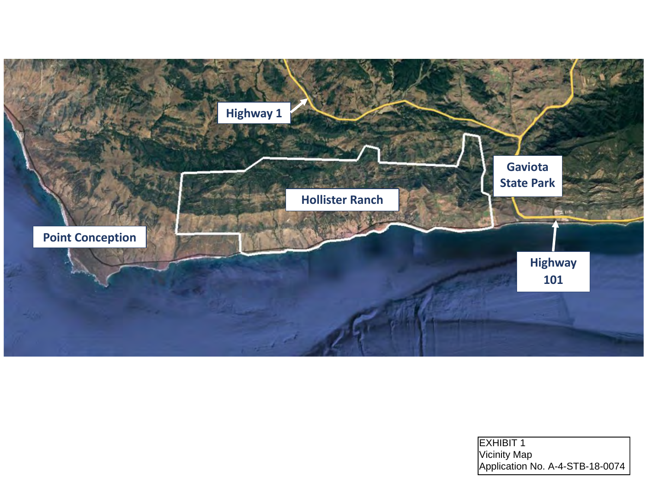<span id="page-1-0"></span>

| <b>EXHIBIT 1</b>                |
|---------------------------------|
| Vicinity Map                    |
| Application No. A-4-STB-18-0074 |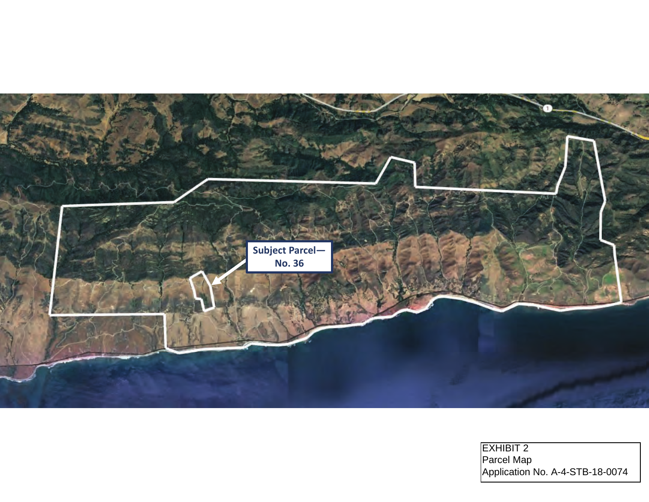<span id="page-2-0"></span>

EXHIBIT 2 Parcel Map Application No. A-4-STB-18-0074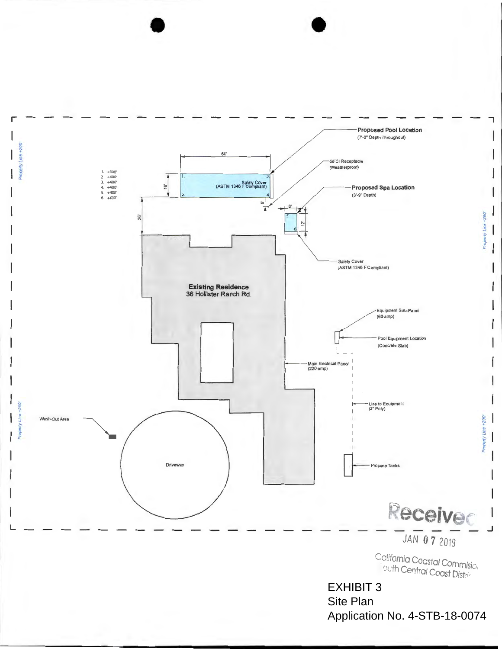<span id="page-3-0"></span>